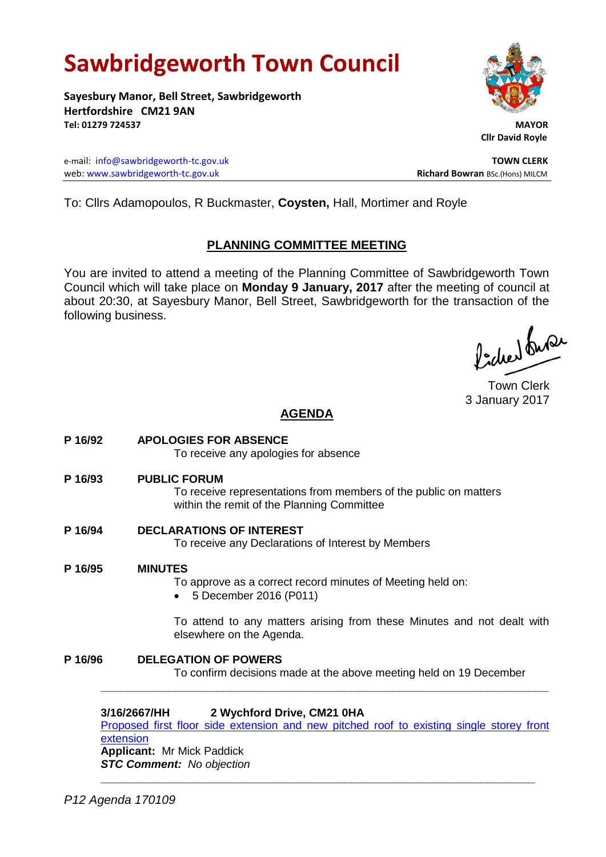# **Sawbridgeworth Town Council**

**Sayesbury Manor, Bell Street, Sawbridgeworth Hertfordshire CM21 9AN Tel: 01279 724537 MAYOR**

e-mail: [info@sawbridgeworth-tc.gov.uk](mailto:info@sawbridgeworth-tc.gov.uk) **TOWN CLERK** web: www.sawbridgeworth-tc.gov.uk<br>
Richard Bowran BSc.(Hons) MILCM



 **Cllr David Royle**

To: Cllrs Adamopoulos, R Buckmaster, **Coysten,** Hall, Mortimer and Royle

# **PLANNING COMMITTEE MEETING**

You are invited to attend a meeting of the Planning Committee of Sawbridgeworth Town Council which will take place on **Monday 9 January, 2017** after the meeting of council at about 20:30, at Sayesbury Manor, Bell Street, Sawbridgeworth for the transaction of the following business.

ladres buse

Town Clerk 3 January 2017

# **AGENDA**

**P 16/92 APOLOGIES FOR ABSENCE** To receive any apologies for absence **P 16/93 PUBLIC FORUM** To receive representations from members of the public on matters within the remit of the Planning Committee **P 16/94 DECLARATIONS OF INTEREST** To receive any Declarations of Interest by Members **P 16/95 MINUTES** To approve as a correct record minutes of Meeting held on: 5 December 2016 (P011) To attend to any matters arising from these Minutes and not dealt with elsewhere on the Agenda. **P 16/96 DELEGATION OF POWERS** To confirm decisions made at the above meeting held on 19 December **\_\_\_\_\_\_\_\_\_\_\_\_\_\_\_\_\_\_\_\_\_\_\_\_\_\_\_\_\_\_\_\_\_\_\_\_\_\_\_\_\_\_\_\_\_\_\_\_\_\_\_\_\_\_\_\_\_\_\_\_\_\_\_\_\_\_ 3/16/2667/HH 2 Wychford Drive, CM21 0HA**

[Proposed first floor side extension and new pitched roof to existing single storey front](https://publicaccess.eastherts.gov.uk/online-applications/applicationDetails.do?activeTab=summary&keyVal=OHG3MXGLMDS00)  [extension](https://publicaccess.eastherts.gov.uk/online-applications/applicationDetails.do?activeTab=summary&keyVal=OHG3MXGLMDS00) **Applicant:** Mr Mick Paddick *STC Comment: No objection* **\_\_\_\_\_\_\_\_\_\_\_\_\_\_\_\_\_\_\_\_\_\_\_\_\_\_\_\_\_\_\_\_\_\_\_\_\_\_\_\_\_\_\_\_\_\_\_\_\_\_\_\_\_\_\_\_\_\_\_\_\_\_\_\_**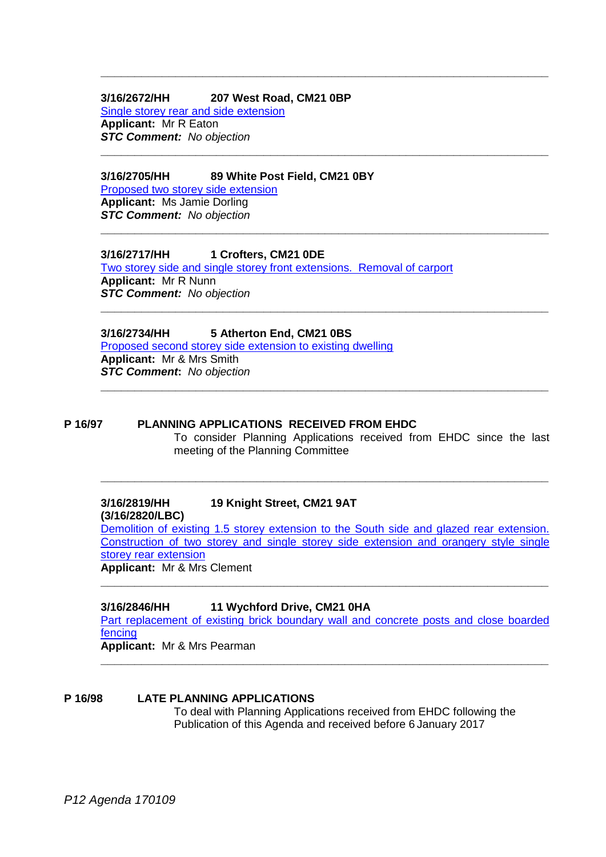### **3/16/2672/HH 207 West Road, CM21 0BP** [Single storey rear and side extension](https://publicaccess.eastherts.gov.uk/online-applications/applicationDetails.do?activeTab=summary&keyVal=OHG876GL00X00) **Applicant:** Mr R Eaton *STC Comment: No objection*

#### **3/16/2705/HH 89 White Post Field, CM21 0BY**

[Proposed two storey side extension](https://publicaccess.eastherts.gov.uk/online-applications/applicationDetails.do?activeTab=summary&keyVal=OHKFADGLMFP00) **Applicant:** Ms Jamie Dorling *STC Comment: No objection*

#### **3/16/2717/HH 1 Crofters, CM21 0DE**

[Two storey side and single storey front extensions. Removal of carport](https://publicaccess.eastherts.gov.uk/online-applications/applicationDetails.do?activeTab=summary&keyVal=OHRIQGGLMGM00) **Applicant:** Mr R Nunn *STC Comment: No objection*

**\_\_\_\_\_\_\_\_\_\_\_\_\_\_\_\_\_\_\_\_\_\_\_\_\_\_\_\_\_\_\_\_\_\_\_\_\_\_\_\_\_\_\_\_\_\_\_\_\_\_\_\_\_\_\_\_\_\_\_\_\_\_\_\_\_\_**

**\_\_\_\_\_\_\_\_\_\_\_\_\_\_\_\_\_\_\_\_\_\_\_\_\_\_\_\_\_\_\_\_\_\_\_\_\_\_\_\_\_\_\_\_\_\_\_\_\_\_\_\_\_\_\_\_\_\_\_\_\_\_\_\_\_\_**

**\_\_\_\_\_\_\_\_\_\_\_\_\_\_\_\_\_\_\_\_\_\_\_\_\_\_\_\_\_\_\_\_\_\_\_\_\_\_\_\_\_\_\_\_\_\_\_\_\_\_\_\_\_\_\_\_\_\_\_\_\_\_\_\_\_\_**

**\_\_\_\_\_\_\_\_\_\_\_\_\_\_\_\_\_\_\_\_\_\_\_\_\_\_\_\_\_\_\_\_\_\_\_\_\_\_\_\_\_\_\_\_\_\_\_\_\_\_\_\_\_\_\_\_\_\_\_\_\_\_\_\_\_\_**

**\_\_\_\_\_\_\_\_\_\_\_\_\_\_\_\_\_\_\_\_\_\_\_\_\_\_\_\_\_\_\_\_\_\_\_\_\_\_\_\_\_\_\_\_\_\_\_\_\_\_\_\_\_\_\_\_\_\_\_\_\_\_\_\_\_\_**

# **3/16/2734/HH 5 Atherton End, CM21 0BS**

[Proposed second storey side extension to existing dwelling](https://publicaccess.eastherts.gov.uk/online-applications/simpleSearchResults.do?action=firstPage) **Applicant:** Mr & Mrs Smith *STC Comment***:** *No objection*

# **P 16/97 PLANNING APPLICATIONS RECEIVED FROM EHDC**

To consider Planning Applications received from EHDC since the last meeting of the Planning Committee

#### **3/16/2819/HH 19 Knight Street, CM21 9AT (3/16/2820/LBC)**

[Demolition of existing 1.5 storey extension to the South side and glazed rear extension.](https://publicaccess.eastherts.gov.uk/online-applications/search.do?action=simple&searchType=Application)  [Construction of two storey and single storey side extension and orangery style single](https://publicaccess.eastherts.gov.uk/online-applications/search.do?action=simple&searchType=Application)  [storey rear extension](https://publicaccess.eastherts.gov.uk/online-applications/search.do?action=simple&searchType=Application) **Applicant:** Mr & Mrs Clement

**\_\_\_\_\_\_\_\_\_\_\_\_\_\_\_\_\_\_\_\_\_\_\_\_\_\_\_\_\_\_\_\_\_\_\_\_\_\_\_\_\_\_\_\_\_\_\_\_\_\_\_\_\_\_\_\_\_\_\_\_\_\_\_\_\_\_**

**\_\_\_\_\_\_\_\_\_\_\_\_\_\_\_\_\_\_\_\_\_\_\_\_\_\_\_\_\_\_\_\_\_\_\_\_\_\_\_\_\_\_\_\_\_\_\_\_\_\_\_\_\_\_\_\_\_\_\_\_\_\_\_\_\_\_**

# **3/16/2846/HH 11 Wychford Drive, CM21 0HA**

[Part replacement of existing brick boundary wall and concrete posts and close boarded](https://publicaccess.eastherts.gov.uk/online-applications/simpleSearchResults.do?action=firstPage)  [fencing](https://publicaccess.eastherts.gov.uk/online-applications/simpleSearchResults.do?action=firstPage)

**Applicant:** Mr & Mrs Pearman **\_\_\_\_\_\_\_\_\_\_\_\_\_\_\_\_\_\_\_\_\_\_\_\_\_\_\_\_\_\_\_\_\_\_\_\_\_\_\_\_\_\_\_\_\_\_\_\_\_\_\_\_\_\_\_\_\_\_\_\_\_\_\_\_\_\_**

### **P 16/98 LATE PLANNING APPLICATIONS** To deal with Planning Applications received from EHDC following the Publication of this Agenda and received before 6 January 2017